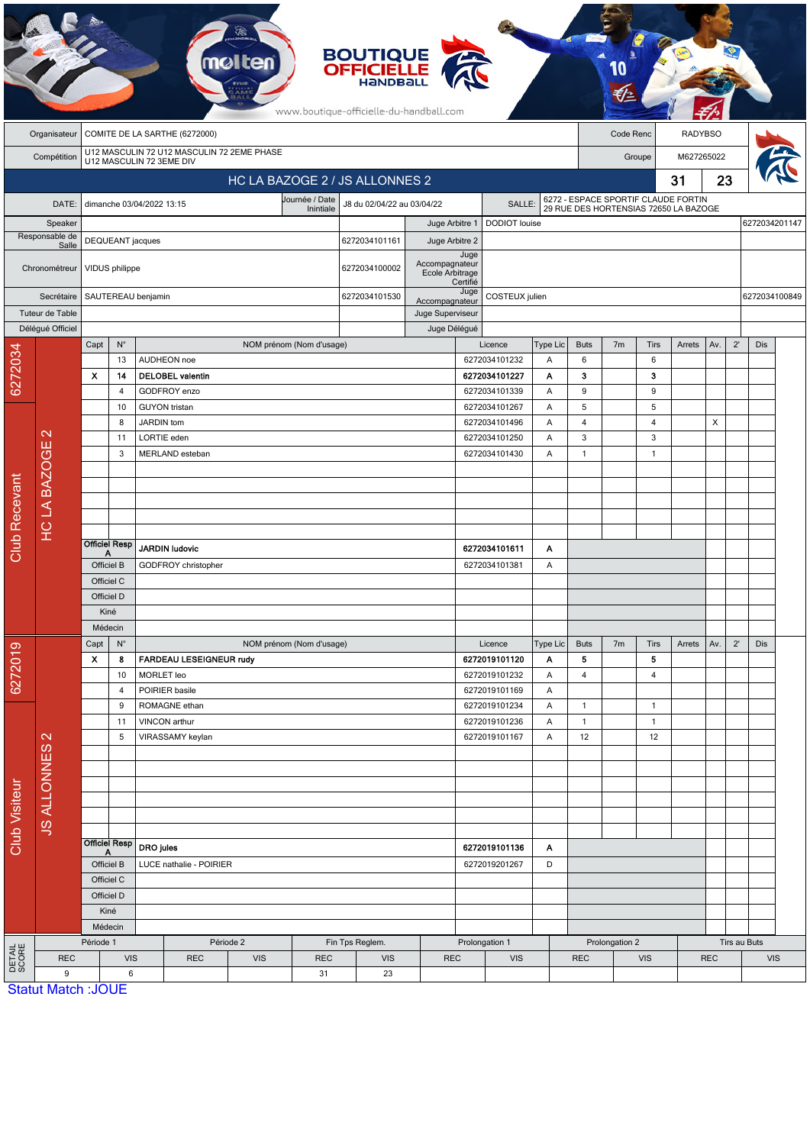|                      |                                         |                                                                        |                      |                                    |                                                     |  |                          | <b>BOUTIQUE</b><br><b>OFFICIELLE</b><br>www.boutique-officielle-du-handball.com |                                   |                                 |                                |          |              |                                                                              |                |        |                                          |                            |               |  |  |  |
|----------------------|-----------------------------------------|------------------------------------------------------------------------|----------------------|------------------------------------|-----------------------------------------------------|--|--------------------------|---------------------------------------------------------------------------------|-----------------------------------|---------------------------------|--------------------------------|----------|--------------|------------------------------------------------------------------------------|----------------|--------|------------------------------------------|----------------------------|---------------|--|--|--|
|                      | Organisateur                            | COMITE DE LA SARTHE (6272000)                                          |                      |                                    |                                                     |  |                          |                                                                                 |                                   |                                 | Code Renc                      |          |              |                                                                              | <b>RADYBSO</b> |        |                                          |                            |               |  |  |  |
|                      | Compétition                             | U12 MASCULIN 72 U12 MASCULIN 72 2EME PHASE<br>U12 MASCULIN 72 3EME DIV |                      |                                    |                                                     |  |                          |                                                                                 |                                   |                                 |                                |          |              | M627265022<br>Groupe                                                         |                |        |                                          |                            |               |  |  |  |
|                      |                                         | HC LA BAZOGE 2 / JS ALLONNES 2                                         |                      |                                    |                                                     |  |                          |                                                                                 |                                   |                                 |                                |          |              |                                                                              | 31             | 23     |                                          |                            |               |  |  |  |
|                      | DATE:                                   |                                                                        |                      | dimanche 03/04/2022 13:15          |                                                     |  | Journée / Date           | J8 du 02/04/22 au 03/04/22<br><b>SALLE</b>                                      |                                   |                                 |                                |          |              |                                                                              |                |        |                                          |                            |               |  |  |  |
|                      | Speaker                                 | Inintiale                                                              |                      |                                    |                                                     |  |                          |                                                                                 |                                   | DODIOT louise<br>Juge Arbitre 1 |                                |          |              | 6272 - ESPACE SPORTIF CLAUDE FORTIN<br>29 RUE DES HORTENSIAS 72650 LA BAZOGE |                |        |                                          |                            | 6272034201147 |  |  |  |
|                      | Responsable de<br>Salle                 | DEQUEANT jacques                                                       |                      |                                    |                                                     |  | 6272034101161            |                                                                                 | Juge Arbitre 2                    |                                 |                                |          |              |                                                                              |                |        |                                          |                            |               |  |  |  |
|                      | Chronométreur                           | VIDUS philippe                                                         |                      |                                    |                                                     |  |                          | 6272034100002                                                                   | Accompagnateur<br>Ecole Arbitrage | Juge<br>Certifié                |                                |          |              |                                                                              |                |        |                                          |                            |               |  |  |  |
|                      | Secrétaire                              |                                                                        | SAUTEREAU benjamin   |                                    |                                                     |  |                          | 6272034101530                                                                   | Accompagnateur                    |                                 | COSTEUX julien                 |          |              |                                                                              |                |        |                                          | 6272034100849              |               |  |  |  |
|                      | Tuteur de Table                         |                                                                        |                      |                                    |                                                     |  |                          |                                                                                 | Juge Superviseur                  |                                 |                                |          |              |                                                                              |                |        |                                          |                            |               |  |  |  |
|                      | Déléqué Officiel                        | Capt                                                                   | $N^{\circ}$          |                                    |                                                     |  | NOM prénom (Nom d'usage) |                                                                                 |                                   | Juge Délégué                    | Licence                        | Type Lic | <b>Buts</b>  | 7 <sub>m</sub>                                                               | Tirs           | Arrets | Av.                                      | $2^{\prime}$<br><b>Dis</b> |               |  |  |  |
| 6272034              |                                         |                                                                        | 13                   | AUDHEON noe                        |                                                     |  |                          |                                                                                 |                                   |                                 | 6272034101232                  | Α        | 6            |                                                                              | 6              |        |                                          |                            |               |  |  |  |
|                      |                                         | x                                                                      | 14                   |                                    | <b>DELOBEL valentin</b>                             |  |                          |                                                                                 |                                   |                                 | 6272034101227                  | Α        | 3            |                                                                              | 3              |        |                                          |                            |               |  |  |  |
|                      |                                         |                                                                        | 4                    |                                    | GODFROY enzo                                        |  |                          |                                                                                 |                                   |                                 | 6272034101339                  | Α        | 9            |                                                                              | 9              |        |                                          |                            |               |  |  |  |
|                      |                                         |                                                                        | 10<br>8              | <b>GUYON</b> tristan<br>JARDIN tom |                                                     |  |                          |                                                                                 |                                   |                                 | 6272034101267<br>6272034101496 | Α<br>Α   | 5<br>4       |                                                                              | 5<br>4         |        | X                                        |                            |               |  |  |  |
|                      | $\mathbf{\Omega}$                       |                                                                        | 11                   | LORTIE eden                        |                                                     |  |                          |                                                                                 |                                   |                                 | 6272034101250                  | A        | 3            |                                                                              | 3              |        |                                          |                            |               |  |  |  |
|                      | Ш                                       | 3                                                                      |                      | MERLAND esteban                    |                                                     |  |                          |                                                                                 |                                   |                                 | 6272034101430                  | Α        | $\mathbf{1}$ |                                                                              | $\mathbf{1}$   |        |                                          |                            |               |  |  |  |
|                      |                                         |                                                                        |                      |                                    |                                                     |  |                          |                                                                                 |                                   |                                 |                                |          |              |                                                                              |                |        |                                          |                            |               |  |  |  |
|                      |                                         |                                                                        |                      |                                    |                                                     |  |                          |                                                                                 |                                   |                                 |                                |          |              |                                                                              |                |        |                                          |                            |               |  |  |  |
|                      | <b>HCLA BAZOG</b>                       |                                                                        |                      |                                    |                                                     |  |                          |                                                                                 |                                   |                                 |                                |          |              |                                                                              |                |        |                                          |                            |               |  |  |  |
|                      |                                         |                                                                        |                      |                                    |                                                     |  |                          |                                                                                 |                                   |                                 |                                |          |              |                                                                              |                |        |                                          |                            |               |  |  |  |
| <b>Club Recevant</b> |                                         |                                                                        | <b>Officiel Resp</b> |                                    |                                                     |  |                          |                                                                                 |                                   |                                 |                                |          |              |                                                                              |                |        |                                          |                            |               |  |  |  |
|                      |                                         | А<br>Officiel B                                                        |                      | <b>JARDIN ludovic</b>              |                                                     |  |                          |                                                                                 |                                   |                                 | 6272034101611                  | Α        |              |                                                                              |                |        |                                          |                            |               |  |  |  |
|                      |                                         |                                                                        | Officiel C           | GODFROY christopher                |                                                     |  |                          |                                                                                 |                                   |                                 | 6272034101381                  | Α        |              |                                                                              |                |        |                                          |                            |               |  |  |  |
|                      |                                         |                                                                        | Officiel D           |                                    |                                                     |  |                          |                                                                                 |                                   |                                 |                                |          |              |                                                                              |                |        |                                          |                            |               |  |  |  |
|                      |                                         |                                                                        | Kiné                 |                                    |                                                     |  |                          |                                                                                 |                                   |                                 |                                |          |              |                                                                              |                |        |                                          |                            |               |  |  |  |
|                      |                                         | Médecin                                                                |                      |                                    |                                                     |  |                          |                                                                                 |                                   |                                 |                                |          |              |                                                                              |                |        |                                          |                            |               |  |  |  |
| စ                    |                                         | Capt<br>$N^{\circ}$                                                    |                      |                                    |                                                     |  | NOM prénom (Nom d'usage) |                                                                                 |                                   |                                 | Licence                        | Type Lic | <b>Buts</b>  | 7 <sub>m</sub>                                                               | Tirs           | Arrets | Av.                                      | $2^{\prime}$               | Dis           |  |  |  |
| 627201               |                                         | $\boldsymbol{\mathsf{x}}$                                              | 8                    |                                    | FARDEAU LESEIGNEUR rudy                             |  |                          |                                                                                 |                                   |                                 | 6272019101120                  | Α        | 5            |                                                                              | 5              |        |                                          |                            |               |  |  |  |
|                      |                                         |                                                                        | 10                   | MORLET leo                         |                                                     |  |                          |                                                                                 |                                   |                                 | 6272019101232                  | A        | 4            |                                                                              | 4              |        |                                          |                            |               |  |  |  |
|                      |                                         |                                                                        | $\overline{4}$<br>9  | POIRIER basile                     | ROMAGNE ethan                                       |  |                          |                                                                                 |                                   |                                 | 6272019101169<br>6272019101234 | Α<br>Α   | $\mathbf{1}$ |                                                                              | $\mathbf{1}$   |        |                                          |                            |               |  |  |  |
|                      | $\mathbf{\Omega}$<br><b>JS ALLONNES</b> |                                                                        | 11                   | VINCON arthur                      |                                                     |  |                          |                                                                                 |                                   |                                 | 6272019101236                  | Α        | $\mathbf{1}$ |                                                                              | $\mathbf{1}$   |        |                                          |                            |               |  |  |  |
|                      |                                         |                                                                        | 5                    |                                    | VIRASSAMY keylan                                    |  |                          |                                                                                 |                                   |                                 | 6272019101167                  | Α        | 12           |                                                                              | 12             |        |                                          |                            |               |  |  |  |
|                      |                                         |                                                                        |                      |                                    |                                                     |  |                          |                                                                                 |                                   |                                 |                                |          |              |                                                                              |                |        |                                          |                            |               |  |  |  |
|                      |                                         |                                                                        |                      |                                    |                                                     |  |                          |                                                                                 |                                   |                                 |                                |          |              |                                                                              |                |        |                                          |                            |               |  |  |  |
|                      |                                         |                                                                        |                      |                                    |                                                     |  |                          |                                                                                 |                                   |                                 |                                |          |              |                                                                              |                |        |                                          |                            |               |  |  |  |
| Club Visiteur        |                                         |                                                                        |                      |                                    |                                                     |  |                          |                                                                                 |                                   |                                 |                                |          |              |                                                                              |                |        |                                          |                            |               |  |  |  |
|                      |                                         |                                                                        |                      |                                    |                                                     |  |                          |                                                                                 |                                   |                                 |                                |          |              |                                                                              |                |        |                                          |                            |               |  |  |  |
|                      |                                         | Officiel Resp                                                          |                      | <b>DRO</b> jules                   |                                                     |  |                          |                                                                                 |                                   |                                 | 6272019101136                  | A        |              |                                                                              |                |        |                                          |                            |               |  |  |  |
|                      |                                         | A<br>Officiel B                                                        |                      | LUCE nathalie - POIRIER            |                                                     |  |                          |                                                                                 | 6272019201267<br>D                |                                 |                                |          |              |                                                                              |                |        |                                          |                            |               |  |  |  |
|                      |                                         | Officiel C                                                             |                      |                                    |                                                     |  |                          |                                                                                 |                                   |                                 |                                |          |              |                                                                              |                |        |                                          |                            |               |  |  |  |
|                      |                                         |                                                                        | Officiel D           |                                    |                                                     |  |                          |                                                                                 |                                   |                                 |                                |          |              |                                                                              |                |        |                                          |                            |               |  |  |  |
|                      |                                         |                                                                        | Kiné                 |                                    |                                                     |  |                          |                                                                                 |                                   |                                 |                                |          |              |                                                                              |                |        |                                          |                            |               |  |  |  |
|                      |                                         |                                                                        | Médecin              |                                    |                                                     |  |                          |                                                                                 |                                   | Prolongation 1                  |                                |          |              |                                                                              |                |        |                                          |                            |               |  |  |  |
| DETAIL<br>SCORE      | <b>REC</b>                              | Période 1                                                              | <b>VIS</b>           |                                    | Période 2<br><b>REC</b><br><b>REC</b><br><b>VIS</b> |  |                          | Fin Tps Reglem.<br><b>VIS</b><br><b>REC</b>                                     |                                   |                                 | <b>VIS</b>                     |          |              | Prolongation 2<br><b>REC</b><br><b>VIS</b>                                   |                |        | Tirs au Buts<br><b>REC</b><br><b>VIS</b> |                            |               |  |  |  |
|                      | 9                                       | 6                                                                      |                      | 31                                 |                                                     |  | 23                       |                                                                                 |                                   |                                 |                                |          |              |                                                                              |                |        |                                          |                            |               |  |  |  |
|                      |                                         | <b>Statut Match: JOUE</b>                                              |                      |                                    |                                                     |  |                          |                                                                                 |                                   |                                 |                                |          |              |                                                                              |                |        |                                          |                            |               |  |  |  |